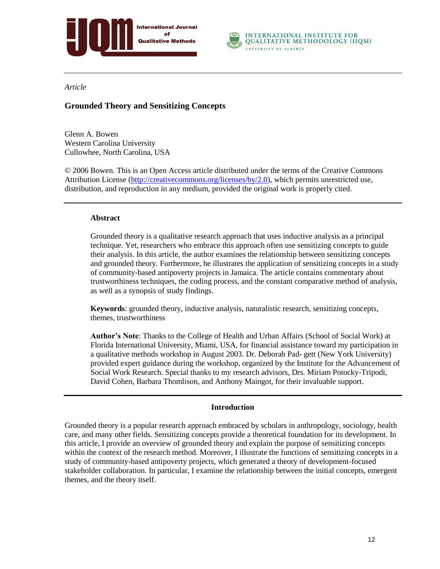



## *Article*

# **Grounded Theory and Sensitizing Concepts**

Glenn A. Bowen Western Carolina University Cullowhee, North Carolina, USA

© 2006 Bowen. This is an Open Access article distributed under the terms of the Creative Commons Attribution License [\(http://creativecommons.org/licenses/by/2.0\)](http://creativecommons.org/licenses/by/2.0), which permits unrestricted use, distribution, and reproduction in any medium, provided the original work is properly cited.

#### **Abstract**

Grounded theory is a qualitative research approach that uses inductive analysis as a principal technique. Yet, researchers who embrace this approach often use sensitizing concepts to guide their analysis. In this article, the author examines the relationship between sensitizing concepts and grounded theory. Furthermore, he illustrates the application of sensitizing concepts in a study of community-based antipoverty projects in Jamaica. The article contains commentary about trustworthiness techniques, the coding process, and the constant comparative method of analysis, as well as a synopsis of study findings.

**Keywords**: grounded theory, inductive analysis, naturalistic research, sensitizing concepts, themes, trustworthiness

**Author's Note**: Thanks to the College of Health and Urban Affairs (School of Social Work) at Florida International University, Miami, USA, for financial assistance toward my participation in a qualitative methods workshop in August 2003. Dr. Deborah Pad- gett (New York University) provided expert guidance during the workshop, organized by the Institute for the Advancement of Social Work Research. Special thanks to my research advisors, Drs. Miriam Potocky-Tripodi, David Cohen, Barbara Thomlison, and Anthony Maingot, for their invaluable support.

# **Introduction**

Grounded theory is a popular research approach embraced by scholars in anthropology, sociology, health care, and many other fields. Sensitizing concepts provide a theoretical foundation for its development. In this article, I provide an overview of grounded theory and explain the purpose of sensitizing concepts within the context of the research method. Moreover, I illustrate the functions of sensitizing concepts in a study of community-based antipoverty projects, which generated a theory of development-focused stakeholder collaboration. In particular, I examine the relationship between the initial concepts, emergent themes, and the theory itself.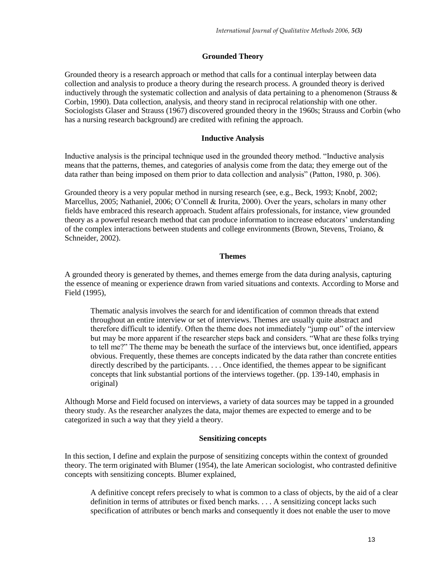## **Grounded Theory**

Grounded theory is a research approach or method that calls for a continual interplay between data collection and analysis to produce a theory during the research process. A grounded theory is derived inductively through the systematic collection and analysis of data pertaining to a phenomenon (Strauss  $\&$ Corbin, 1990). Data collection, analysis, and theory stand in reciprocal relationship with one other. Sociologists Glaser and Strauss (1967) discovered grounded theory in the 1960s; Strauss and Corbin (who has a nursing research background) are credited with refining the approach.

## **Inductive Analysis**

Inductive analysis is the principal technique used in the grounded theory method. "Inductive analysis means that the patterns, themes, and categories of analysis come from the data; they emerge out of the data rather than being imposed on them prior to data collection and analysis" (Patton, 1980, p. 306).

Grounded theory is a very popular method in nursing research (see, e.g., Beck, 1993; Knobf, 2002; Marcellus, 2005; Nathaniel, 2006; O'Connell & Irurita, 2000). Over the years, scholars in many other fields have embraced this research approach. Student affairs professionals, for instance, view grounded theory as a powerful research method that can produce information to increase educators" understanding of the complex interactions between students and college environments (Brown, Stevens, Troiano, & Schneider, 2002).

## **Themes**

A grounded theory is generated by themes, and themes emerge from the data during analysis, capturing the essence of meaning or experience drawn from varied situations and contexts. According to Morse and Field (1995),

Thematic analysis involves the search for and identification of common threads that extend throughout an entire interview or set of interviews. Themes are usually quite abstract and therefore difficult to identify. Often the theme does not immediately "jump out" of the interview but may be more apparent if the researcher steps back and considers. "What are these folks trying to tell me?" The theme may be beneath the surface of the interviews but, once identified, appears obvious. Frequently, these themes are concepts indicated by the data rather than concrete entities directly described by the participants. . . . Once identified, the themes appear to be significant concepts that link substantial portions of the interviews together. (pp. 139-140, emphasis in original)

Although Morse and Field focused on interviews, a variety of data sources may be tapped in a grounded theory study. As the researcher analyzes the data, major themes are expected to emerge and to be categorized in such a way that they yield a theory.

#### **Sensitizing concepts**

In this section, I define and explain the purpose of sensitizing concepts within the context of grounded theory. The term originated with Blumer (1954), the late American sociologist, who contrasted definitive concepts with sensitizing concepts. Blumer explained,

A definitive concept refers precisely to what is common to a class of objects, by the aid of a clear definition in terms of attributes or fixed bench marks. . . . A sensitizing concept lacks such specification of attributes or bench marks and consequently it does not enable the user to move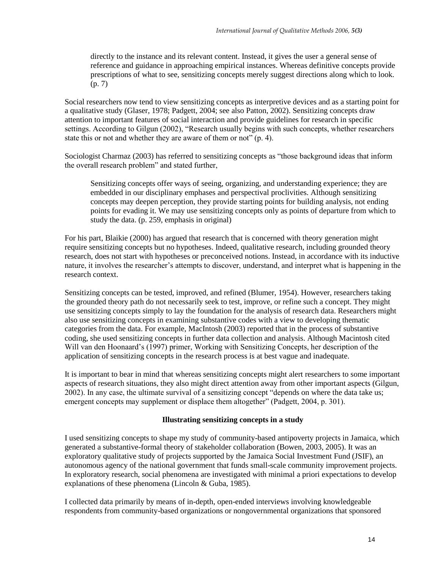directly to the instance and its relevant content. Instead, it gives the user a general sense of reference and guidance in approaching empirical instances. Whereas definitive concepts provide prescriptions of what to see, sensitizing concepts merely suggest directions along which to look. (p. 7)

Social researchers now tend to view sensitizing concepts as interpretive devices and as a starting point for a qualitative study (Glaser, 1978; Padgett, 2004; see also Patton, 2002). Sensitizing concepts draw attention to important features of social interaction and provide guidelines for research in specific settings. According to Gilgun (2002), "Research usually begins with such concepts, whether researchers state this or not and whether they are aware of them or not" (p. 4).

Sociologist Charmaz (2003) has referred to sensitizing concepts as "those background ideas that inform the overall research problem" and stated further,

Sensitizing concepts offer ways of seeing, organizing, and understanding experience; they are embedded in our disciplinary emphases and perspectival proclivities. Although sensitizing concepts may deepen perception, they provide starting points for building analysis, not ending points for evading it. We may use sensitizing concepts only as points of departure from which to study the data. (p. 259, emphasis in original)

For his part, Blaikie (2000) has argued that research that is concerned with theory generation might require sensitizing concepts but no hypotheses. Indeed, qualitative research, including grounded theory research, does not start with hypotheses or preconceived notions. Instead, in accordance with its inductive nature, it involves the researcher"s attempts to discover, understand, and interpret what is happening in the research context.

Sensitizing concepts can be tested, improved, and refined (Blumer, 1954). However, researchers taking the grounded theory path do not necessarily seek to test, improve, or refine such a concept. They might use sensitizing concepts simply to lay the foundation for the analysis of research data. Researchers might also use sensitizing concepts in examining substantive codes with a view to developing thematic categories from the data. For example, MacIntosh (2003) reported that in the process of substantive coding, she used sensitizing concepts in further data collection and analysis. Although Macintosh cited Will van den Hoonaard"s (1997) primer, Working with Sensitizing Concepts, her description of the application of sensitizing concepts in the research process is at best vague and inadequate.

It is important to bear in mind that whereas sensitizing concepts might alert researchers to some important aspects of research situations, they also might direct attention away from other important aspects (Gilgun, 2002). In any case, the ultimate survival of a sensitizing concept "depends on where the data take us; emergent concepts may supplement or displace them altogether" (Padgett, 2004, p. 301).

# **Illustrating sensitizing concepts in a study**

I used sensitizing concepts to shape my study of community-based antipoverty projects in Jamaica, which generated a substantive-formal theory of stakeholder collaboration (Bowen, 2003, 2005). It was an exploratory qualitative study of projects supported by the Jamaica Social Investment Fund (JSIF), an autonomous agency of the national government that funds small-scale community improvement projects. In exploratory research, social phenomena are investigated with minimal a priori expectations to develop explanations of these phenomena (Lincoln & Guba, 1985).

I collected data primarily by means of in-depth, open-ended interviews involving knowledgeable respondents from community-based organizations or nongovernmental organizations that sponsored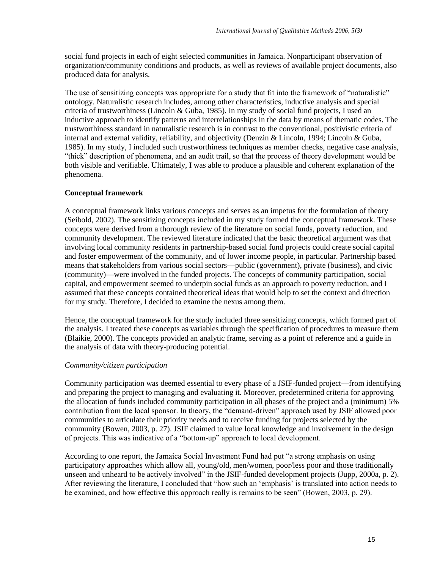social fund projects in each of eight selected communities in Jamaica. Nonparticipant observation of organization/community conditions and products, as well as reviews of available project documents, also produced data for analysis.

The use of sensitizing concepts was appropriate for a study that fit into the framework of "naturalistic" ontology. Naturalistic research includes, among other characteristics, inductive analysis and special criteria of trustworthiness (Lincoln & Guba, 1985). In my study of social fund projects, I used an inductive approach to identify patterns and interrelationships in the data by means of thematic codes. The trustworthiness standard in naturalistic research is in contrast to the conventional, positivistic criteria of internal and external validity, reliability, and objectivity (Denzin & Lincoln, 1994; Lincoln & Guba, 1985). In my study, I included such trustworthiness techniques as member checks, negative case analysis, "thick" description of phenomena, and an audit trail, so that the process of theory development would be both visible and verifiable. Ultimately, I was able to produce a plausible and coherent explanation of the phenomena.

## **Conceptual framework**

A conceptual framework links various concepts and serves as an impetus for the formulation of theory (Seibold, 2002). The sensitizing concepts included in my study formed the conceptual framework. These concepts were derived from a thorough review of the literature on social funds, poverty reduction, and community development. The reviewed literature indicated that the basic theoretical argument was that involving local community residents in partnership-based social fund projects could create social capital and foster empowerment of the community, and of lower income people, in particular. Partnership based means that stakeholders from various social sectors—public (government), private (business), and civic (community)—were involved in the funded projects. The concepts of community participation, social capital, and empowerment seemed to underpin social funds as an approach to poverty reduction, and I assumed that these concepts contained theoretical ideas that would help to set the context and direction for my study. Therefore, I decided to examine the nexus among them.

Hence, the conceptual framework for the study included three sensitizing concepts, which formed part of the analysis. I treated these concepts as variables through the specification of procedures to measure them (Blaikie, 2000). The concepts provided an analytic frame, serving as a point of reference and a guide in the analysis of data with theory-producing potential.

#### *Community/citizen participation*

Community participation was deemed essential to every phase of a JSIF-funded project—from identifying and preparing the project to managing and evaluating it. Moreover, predetermined criteria for approving the allocation of funds included community participation in all phases of the project and a (minimum) 5% contribution from the local sponsor. In theory, the "demand-driven" approach used by JSIF allowed poor communities to articulate their priority needs and to receive funding for projects selected by the community (Bowen, 2003, p. 27). JSIF claimed to value local knowledge and involvement in the design of projects. This was indicative of a "bottom-up" approach to local development.

According to one report, the Jamaica Social Investment Fund had put "a strong emphasis on using participatory approaches which allow all, young/old, men/women, poor/less poor and those traditionally unseen and unheard to be actively involved" in the JSIF-funded development projects (Jupp, 2000a, p. 2). After reviewing the literature, I concluded that "how such an "emphasis" is translated into action needs to be examined, and how effective this approach really is remains to be seen" (Bowen, 2003, p. 29).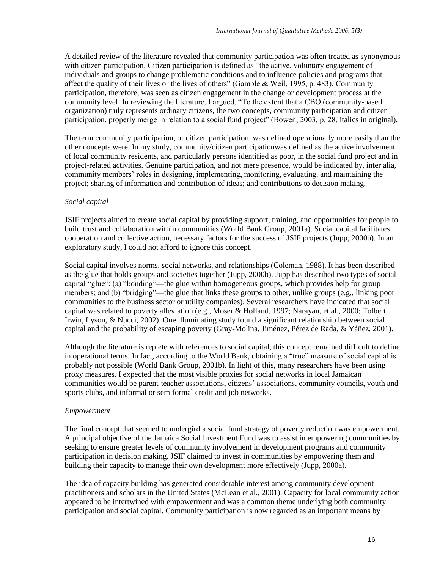A detailed review of the literature revealed that community participation was often treated as synonymous with citizen participation. Citizen participation is defined as "the active, voluntary engagement of individuals and groups to change problematic conditions and to influence policies and programs that affect the quality of their lives or the lives of others" (Gamble & Weil, 1995, p. 483). Community participation, therefore, was seen as citizen engagement in the change or development process at the community level. In reviewing the literature, I argued, "To the extent that a CBO (community-based organization) truly represents ordinary citizens, the two concepts, community participation and citizen participation, properly merge in relation to a social fund project" (Bowen, 2003, p. 28, italics in original).

The term community participation, or citizen participation, was defined operationally more easily than the other concepts were. In my study, community/citizen participationwas defined as the active involvement of local community residents, and particularly persons identified as poor, in the social fund project and in project-related activities. Genuine participation, and not mere presence, would be indicated by, inter alia, community members' roles in designing, implementing, monitoring, evaluating, and maintaining the project; sharing of information and contribution of ideas; and contributions to decision making.

#### *Social capital*

JSIF projects aimed to create social capital by providing support, training, and opportunities for people to build trust and collaboration within communities (World Bank Group, 2001a). Social capital facilitates cooperation and collective action, necessary factors for the success of JSIF projects (Jupp, 2000b). In an exploratory study, I could not afford to ignore this concept.

Social capital involves norms, social networks, and relationships (Coleman, 1988). It has been described as the glue that holds groups and societies together (Jupp, 2000b). Jupp has described two types of social capital "glue": (a) "bonding"—the glue within homogeneous groups, which provides help for group members; and (b) "bridging"—the glue that links these groups to other, unlike groups (e.g., linking poor communities to the business sector or utility companies). Several researchers have indicated that social capital was related to poverty alleviation (e.g., Moser & Holland, 1997; Narayan, et al., 2000; Tolbert, Irwin, Lyson, & Nucci, 2002). One illuminating study found a significant relationship between social capital and the probability of escaping poverty (Gray-Molina, Jiménez, Pérez de Rada, & Yáñez, 2001).

Although the literature is replete with references to social capital, this concept remained difficult to define in operational terms. In fact, according to the World Bank, obtaining a "true" measure of social capital is probably not possible (World Bank Group, 2001b). In light of this, many researchers have been using proxy measures. I expected that the most visible proxies for social networks in local Jamaican communities would be parent-teacher associations, citizens" associations, community councils, youth and sports clubs, and informal or semiformal credit and job networks.

#### *Empowerment*

The final concept that seemed to undergird a social fund strategy of poverty reduction was empowerment. A principal objective of the Jamaica Social Investment Fund was to assist in empowering communities by seeking to ensure greater levels of community involvement in development programs and community participation in decision making. JSIF claimed to invest in communities by empowering them and building their capacity to manage their own development more effectively (Jupp, 2000a).

The idea of capacity building has generated considerable interest among community development practitioners and scholars in the United States (McLean et al., 2001). Capacity for local community action appeared to be intertwined with empowerment and was a common theme underlying both community participation and social capital. Community participation is now regarded as an important means by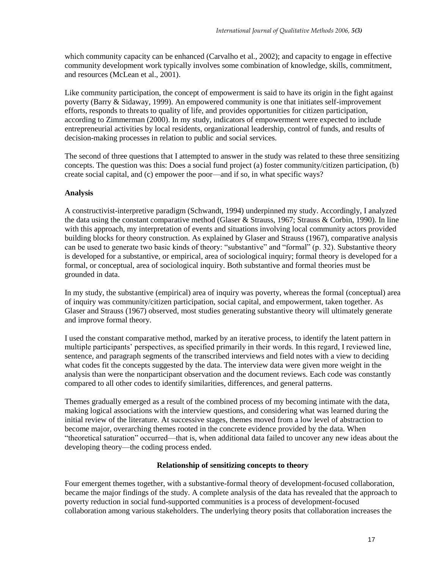which community capacity can be enhanced (Carvalho et al., 2002); and capacity to engage in effective community development work typically involves some combination of knowledge, skills, commitment, and resources (McLean et al., 2001).

Like community participation, the concept of empowerment is said to have its origin in the fight against poverty (Barry & Sidaway, 1999). An empowered community is one that initiates self-improvement efforts, responds to threats to quality of life, and provides opportunities for citizen participation, according to Zimmerman (2000). In my study, indicators of empowerment were expected to include entrepreneurial activities by local residents, organizational leadership, control of funds, and results of decision-making processes in relation to public and social services.

The second of three questions that I attempted to answer in the study was related to these three sensitizing concepts. The question was this: Does a social fund project (a) foster community/citizen participation, (b) create social capital, and (c) empower the poor—and if so, in what specific ways?

#### **Analysis**

A constructivist-interpretive paradigm (Schwandt, 1994) underpinned my study. Accordingly, I analyzed the data using the constant comparative method (Glaser & Strauss, 1967; Strauss & Corbin, 1990). In line with this approach, my interpretation of events and situations involving local community actors provided building blocks for theory construction. As explained by Glaser and Strauss (1967), comparative analysis can be used to generate two basic kinds of theory: "substantive" and "formal" (p. 32). Substantive theory is developed for a substantive, or empirical, area of sociological inquiry; formal theory is developed for a formal, or conceptual, area of sociological inquiry. Both substantive and formal theories must be grounded in data.

In my study, the substantive (empirical) area of inquiry was poverty, whereas the formal (conceptual) area of inquiry was community/citizen participation, social capital, and empowerment, taken together. As Glaser and Strauss (1967) observed, most studies generating substantive theory will ultimately generate and improve formal theory.

I used the constant comparative method, marked by an iterative process, to identify the latent pattern in multiple participants' perspectives, as specified primarily in their words. In this regard, I reviewed line, sentence, and paragraph segments of the transcribed interviews and field notes with a view to deciding what codes fit the concepts suggested by the data. The interview data were given more weight in the analysis than were the nonparticipant observation and the document reviews. Each code was constantly compared to all other codes to identify similarities, differences, and general patterns.

Themes gradually emerged as a result of the combined process of my becoming intimate with the data, making logical associations with the interview questions, and considering what was learned during the initial review of the literature. At successive stages, themes moved from a low level of abstraction to become major, overarching themes rooted in the concrete evidence provided by the data. When "theoretical saturation" occurred—that is, when additional data failed to uncover any new ideas about the developing theory—the coding process ended.

#### **Relationship of sensitizing concepts to theory**

Four emergent themes together, with a substantive-formal theory of development-focused collaboration, became the major findings of the study. A complete analysis of the data has revealed that the approach to poverty reduction in social fund-supported communities is a process of development-focused collaboration among various stakeholders. The underlying theory posits that collaboration increases the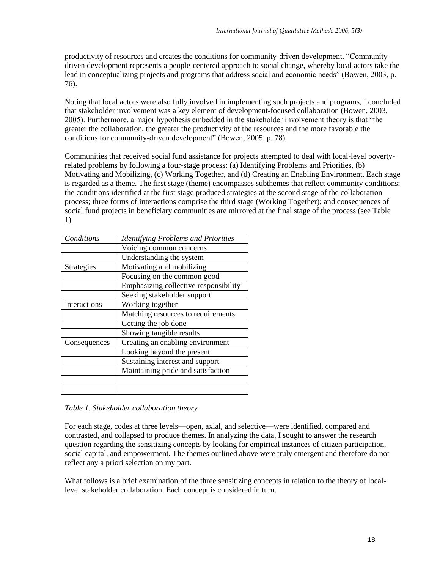productivity of resources and creates the conditions for community-driven development. "Communitydriven development represents a people-centered approach to social change, whereby local actors take the lead in conceptualizing projects and programs that address social and economic needs" (Bowen, 2003, p. 76).

Noting that local actors were also fully involved in implementing such projects and programs, I concluded that stakeholder involvement was a key element of development-focused collaboration (Bowen, 2003, 2005). Furthermore, a major hypothesis embedded in the stakeholder involvement theory is that "the greater the collaboration, the greater the productivity of the resources and the more favorable the conditions for community-driven development" (Bowen, 2005, p. 78).

Communities that received social fund assistance for projects attempted to deal with local-level povertyrelated problems by following a four-stage process: (a) Identifying Problems and Priorities, (b) Motivating and Mobilizing, (c) Working Together, and (d) Creating an Enabling Environment. Each stage is regarded as a theme. The first stage (theme) encompasses subthemes that reflect community conditions; the conditions identified at the first stage produced strategies at the second stage of the collaboration process; three forms of interactions comprise the third stage (Working Together); and consequences of social fund projects in beneficiary communities are mirrored at the final stage of the process (see Table 1).

| Conditions        | <b>Identifying Problems and Priorities</b> |  |
|-------------------|--------------------------------------------|--|
|                   | Voicing common concerns                    |  |
|                   | Understanding the system                   |  |
| <b>Strategies</b> | Motivating and mobilizing                  |  |
|                   | Focusing on the common good                |  |
|                   | Emphasizing collective responsibility      |  |
|                   | Seeking stakeholder support                |  |
| Interactions      | Working together                           |  |
|                   | Matching resources to requirements         |  |
|                   | Getting the job done                       |  |
|                   | Showing tangible results                   |  |
| Consequences      | Creating an enabling environment           |  |
|                   | Looking beyond the present                 |  |
|                   | Sustaining interest and support            |  |
|                   | Maintaining pride and satisfaction         |  |
|                   |                                            |  |
|                   |                                            |  |

*Table 1. Stakeholder collaboration theory*

For each stage, codes at three levels—open, axial, and selective—were identified, compared and contrasted, and collapsed to produce themes. In analyzing the data, I sought to answer the research question regarding the sensitizing concepts by looking for empirical instances of citizen participation, social capital, and empowerment. The themes outlined above were truly emergent and therefore do not reflect any a priori selection on my part.

What follows is a brief examination of the three sensitizing concepts in relation to the theory of locallevel stakeholder collaboration. Each concept is considered in turn.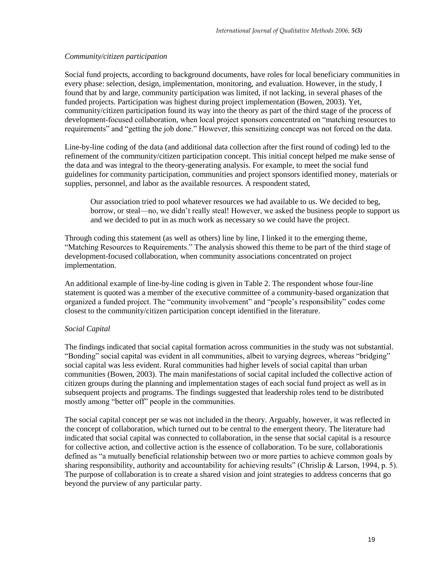#### *Community/citizen participation*

Social fund projects, according to background documents, have roles for local beneficiary communities in every phase: selection, design, implementation, monitoring, and evaluation. However, in the study, I found that by and large, community participation was limited, if not lacking, in several phases of the funded projects. Participation was highest during project implementation (Bowen, 2003). Yet, community/citizen participation found its way into the theory as part of the third stage of the process of development-focused collaboration, when local project sponsors concentrated on "matching resources to requirements" and "getting the job done." However, this sensitizing concept was not forced on the data.

Line-by-line coding of the data (and additional data collection after the first round of coding) led to the refinement of the community/citizen participation concept. This initial concept helped me make sense of the data and was integral to the theory-generating analysis. For example, to meet the social fund guidelines for community participation, communities and project sponsors identified money, materials or supplies, personnel, and labor as the available resources. A respondent stated,

Our association tried to pool whatever resources we had available to us. We decided to beg, borrow, or steal—no, we didn"t really steal! However, we asked the business people to support us and we decided to put in as much work as necessary so we could have the project.

Through coding this statement (as well as others) line by line, I linked it to the emerging theme, "Matching Resources to Requirements." The analysis showed this theme to be part of the third stage of development-focused collaboration, when community associations concentrated on project implementation.

An additional example of line-by-line coding is given in Table 2. The respondent whose four-line statement is quoted was a member of the executive committee of a community-based organization that organized a funded project. The "community involvement" and "people"s responsibility" codes come closest to the community/citizen participation concept identified in the literature.

#### *Social Capital*

The findings indicated that social capital formation across communities in the study was not substantial. "Bonding" social capital was evident in all communities, albeit to varying degrees, whereas "bridging" social capital was less evident. Rural communities had higher levels of social capital than urban communities (Bowen, 2003). The main manifestations of social capital included the collective action of citizen groups during the planning and implementation stages of each social fund project as well as in subsequent projects and programs. The findings suggested that leadership roles tend to be distributed mostly among "better off" people in the communities.

The social capital concept per se was not included in the theory. Arguably, however, it was reflected in the concept of collaboration, which turned out to be central to the emergent theory. The literature had indicated that social capital was connected to collaboration, in the sense that social capital is a resource for collective action, and collective action is the essence of collaboration. To be sure, collaborationis defined as "a mutually beneficial relationship between two or more parties to achieve common goals by sharing responsibility, authority and accountability for achieving results" (Chrislip & Larson, 1994, p. 5). The purpose of collaboration is to create a shared vision and joint strategies to address concerns that go beyond the purview of any particular party.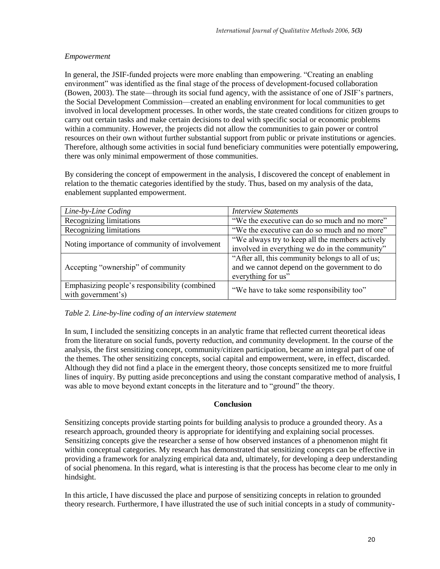# *Empowerment*

In general, the JSIF-funded projects were more enabling than empowering. "Creating an enabling environment" was identified as the final stage of the process of development-focused collaboration (Bowen, 2003). The state—through its social fund agency, with the assistance of one of JSIF"s partners, the Social Development Commission—created an enabling environment for local communities to get involved in local development processes. In other words, the state created conditions for citizen groups to carry out certain tasks and make certain decisions to deal with specific social or economic problems within a community. However, the projects did not allow the communities to gain power or control resources on their own without further substantial support from public or private institutions or agencies. Therefore, although some activities in social fund beneficiary communities were potentially empowering, there was only minimal empowerment of those communities.

By considering the concept of empowerment in the analysis, I discovered the concept of enablement in relation to the thematic categories identified by the study. Thus, based on my analysis of the data, enablement supplanted empowerment.

| Line-by-Line Coding                                                 | <b>Interview Statements</b>                                                                                            |
|---------------------------------------------------------------------|------------------------------------------------------------------------------------------------------------------------|
| Recognizing limitations                                             | "We the executive can do so much and no more"                                                                          |
| Recognizing limitations                                             | "We the executive can do so much and no more"                                                                          |
| Noting importance of community of involvement                       | "We always try to keep all the members actively<br>involved in everything we do in the community"                      |
| Accepting "ownership" of community                                  | "After all, this community belongs to all of us;<br>and we cannot depend on the government to do<br>everything for us" |
| Emphasizing people's responsibility (combined<br>with government's) | "We have to take some responsibility too"                                                                              |

#### *Table 2. Line-by-line coding of an interview statement*

In sum, I included the sensitizing concepts in an analytic frame that reflected current theoretical ideas from the literature on social funds, poverty reduction, and community development. In the course of the analysis, the first sensitizing concept, community/citizen participation, became an integral part of one of the themes. The other sensitizing concepts, social capital and empowerment, were, in effect, discarded. Although they did not find a place in the emergent theory, those concepts sensitized me to more fruitful lines of inquiry. By putting aside preconceptions and using the constant comparative method of analysis, I was able to move beyond extant concepts in the literature and to "ground" the theory.

# **Conclusion**

Sensitizing concepts provide starting points for building analysis to produce a grounded theory. As a research approach, grounded theory is appropriate for identifying and explaining social processes. Sensitizing concepts give the researcher a sense of how observed instances of a phenomenon might fit within conceptual categories. My research has demonstrated that sensitizing concepts can be effective in providing a framework for analyzing empirical data and, ultimately, for developing a deep understanding of social phenomena. In this regard, what is interesting is that the process has become clear to me only in hindsight.

In this article, I have discussed the place and purpose of sensitizing concepts in relation to grounded theory research. Furthermore, I have illustrated the use of such initial concepts in a study of community-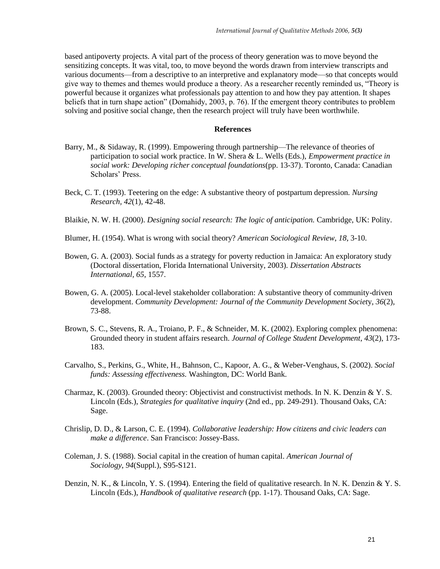based antipoverty projects. A vital part of the process of theory generation was to move beyond the sensitizing concepts. It was vital, too, to move beyond the words drawn from interview transcripts and various documents—from a descriptive to an interpretive and explanatory mode—so that concepts would give way to themes and themes would produce a theory. As a researcher recently reminded us, "Theory is powerful because it organizes what professionals pay attention to and how they pay attention. It shapes beliefs that in turn shape action" (Domahidy, 2003, p. 76). If the emergent theory contributes to problem solving and positive social change, then the research project will truly have been worthwhile.

#### **References**

- Barry, M., & Sidaway, R. (1999). Empowering through partnership—The relevance of theories of participation to social work practice. In W. Shera & L. Wells (Eds.), *Empowerment practice in social work: Developing richer conceptual foundations*(pp. 13-37). Toronto, Canada: Canadian Scholars' Press.
- Beck, C. T. (1993). Teetering on the edge: A substantive theory of postpartum depression. *Nursing Research, 42*(1), 42-48.
- Blaikie, N. W. H. (2000). *Designing social research: The logic of anticipation.* Cambridge, UK: Polity.
- Blumer, H. (1954). What is wrong with social theory? *American Sociological Review*, *18*, 3-10.
- Bowen, G. A. (2003). Social funds as a strategy for poverty reduction in Jamaica: An exploratory study (Doctoral dissertation, Florida International University, 2003)*. Dissertation Abstracts International, 65*, 1557.
- Bowen, G. A. (2005). Local-level stakeholder collaboration: A substantive theory of community-driven development. *Community Development: Journal of the Community Development Societ*y, *36*(2), 73-88.
- Brown, S. C., Stevens, R. A., Troiano, P. F., & Schneider, M. K. (2002). Exploring complex phenomena: Grounded theory in student affairs research. *Journal of College Student Development*, *43*(2), 173- 183.
- Carvalho, S., Perkins, G., White, H., Bahnson, C., Kapoor, A. G., & Weber-Venghaus, S. (2002). *Social funds: Assessing effectiveness.* Washington, DC: World Bank.
- Charmaz, K. (2003). Grounded theory: Objectivist and constructivist methods. In N. K. Denzin & Y. S. Lincoln (Eds.), *Strategies for qualitative inquiry* (2nd ed., pp. 249-291). Thousand Oaks, CA: Sage.
- Chrislip, D. D., & Larson, C. E. (1994). *Collaborative leadership: How citizens and civic leaders can make a difference*. San Francisco: Jossey-Bass.
- Coleman, J. S. (1988). Social capital in the creation of human capital. *American Journal of Sociology*, *94*(Suppl.), S95-S121.
- Denzin, N. K., & Lincoln, Y. S. (1994). Entering the field of qualitative research. In N. K. Denzin & Y. S. Lincoln (Eds.), *Handbook of qualitative research* (pp. 1-17). Thousand Oaks, CA: Sage.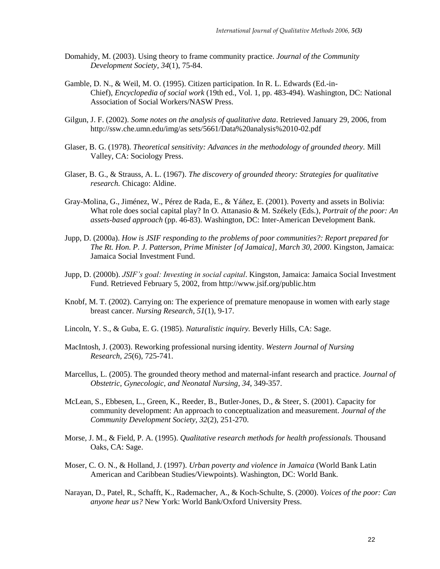- Domahidy, M. (2003). Using theory to frame community practice. *Journal of the Community Development Society*, *34*(1), 75-84.
- Gamble, D. N., & Weil, M. O. (1995). Citizen participation. In R. L. Edwards (Ed.-in-Chief), *Encyclopedia of social work* (19th ed., Vol. 1, pp. 483-494). Washington, DC: National Association of Social Workers/NASW Press.
- Gilgun, J. F. (2002). *Some notes on the analysis of qualitative data*. Retrieved January 29, 2006, from http://ssw.che.umn.edu/img/as sets/5661/Data%20analysis%2010-02.pdf
- Glaser, B. G. (1978). *Theoretical sensitivity: Advances in the methodology of grounded theory.* Mill Valley, CA: Sociology Press.
- Glaser, B. G., & Strauss, A. L. (1967). *The discovery of grounded theory: Strategies for qualitative research.* Chicago: Aldine.
- Gray-Molina, G., Jiménez, W., Pérez de Rada, E., & Yáñez, E. (2001). Poverty and assets in Bolivia: What role does social capital play? In O. Attanasio & M. Székely (Eds.), *Portrait of the poor: An assets-based approach* (pp. 46-83). Washington, DC: Inter-American Development Bank.
- Jupp, D. (2000a). *How is JSIF responding to the problems of poor communities?: Report prepared for The Rt. Hon. P. J. Patterson, Prime Minister [of Jamaica], March 30, 2000*. Kingston, Jamaica: Jamaica Social Investment Fund.
- Jupp, D. (2000b). *JSIF's goal: Investing in social capital*. Kingston, Jamaica: Jamaica Social Investment Fund. Retrieved February 5, 2002, from http://www.jsif.org/public.htm
- Knobf, M. T. (2002). Carrying on: The experience of premature menopause in women with early stage breast cancer. *Nursing Research*, *51*(1), 9-17.
- Lincoln, Y. S., & Guba, E. G. (1985). *Naturalistic inquiry.* Beverly Hills, CA: Sage.
- MacIntosh, J. (2003). Reworking professional nursing identity. *Western Journal of Nursing Research*, *25*(6), 725-741.
- Marcellus, L. (2005). The grounded theory method and maternal-infant research and practice. *Journal of Obstetric, Gynecologic, and Neonatal Nursing*, *34*, 349-357.
- McLean, S., Ebbesen, L., Green, K., Reeder, B., Butler-Jones, D., & Steer, S. (2001). Capacity for community development: An approach to conceptualization and measurement. *Journal of the Community Development Society, 32*(2), 251-270.
- Morse, J. M., & Field, P. A. (1995). *Qualitative research methods for health professionals.* Thousand Oaks, CA: Sage.
- Moser, C. O. N., & Holland, J. (1997). *Urban poverty and violence in Jamaica* (World Bank Latin American and Caribbean Studies/Viewpoints). Washington, DC: World Bank.
- Narayan, D., Patel, R., Schafft, K., Rademacher, A., & Koch-Schulte, S. (2000). *Voices of the poor: Can anyone hear us?* New York: World Bank/Oxford University Press.